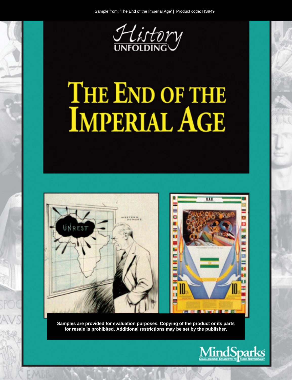

# THE END OF THE **IMPERIAL AGE**



Samples are provided for evaluation purposes. Copying of the product or its parts for resale is prohibited. Additional restrictions may be set by the publisher.

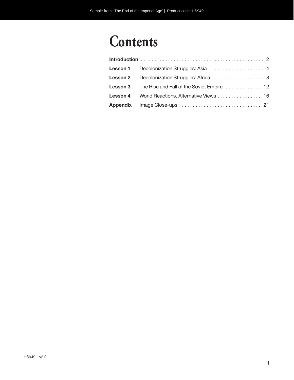## **Contents**

| Lesson 4 World Reactions, Alternative Views  16 |
|-------------------------------------------------|
|                                                 |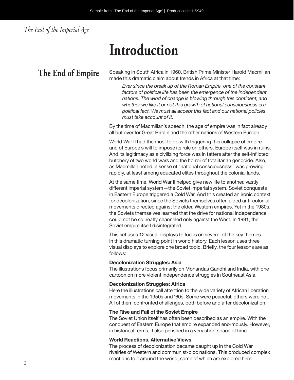*The End of the Imperial Age*

# **Introduction**

**The End of Empire** Speaking in South Africa in 1960, British Prime Minister Harold Macmillan made this dramatic claim about trends in Africa at that time:

> *Ever since the break up of the Roman Empire, one of the constant factors of political life has been the emergence of the independent nations. The wind of change is blowing through this continent, and whether we like it or not this growth of national consciousness is a political fact. We must all accept this fact and our national policies must take account of it.*

By the time of Macmillan's speech, the age of empire was in fact already all but over for Great Britain and the other nations of Western Europe.

World War II had the most to do with triggering this collapse of empire and of Europe's will to impose its rule on others. Europe itself was in ruins. And its legitimacy as a civilizing force was in tatters after the self-inflicted butchery of two world wars and the horror of totalitarian genocide. Also, as Macmillan noted, a sense of "national consciousness" was growing rapidly, at least among educated elites throughout the colonial lands.

At the same time, World War II helped give new life to another, vastly different imperial system—the Soviet imperial system. Soviet conquests in Eastern Europe triggered a Cold War. And this created an ironic context for decolonization, since the Soviets themselves often aided anti-colonial movements directed against the older, Western empires. Yet in the 1980s, the Soviets themselves learned that the drive for national independence could not be so neatly channeled only against the West. In 1991, the Soviet empire itself disintegrated.

This set uses 12 visual displays to focus on several of the key themes in this dramatic turning point in world history. Each lesson uses three visual displays to explore one broad topic. Briefly, the four lessons are as follows:

#### **Decolonization Struggles: Asia**

The illustrations focus primarily on Mohandas Gandhi and India, with one cartoon on more violent independence struggles in Southeast Asia.

#### **Decolonization Struggles: Africa**

Here the illustrations call attention to the wide variety of African liberation movements in the 1950s and '60s. Some were peaceful; others were not. All of them confronted challenges, both before and after decolonization.

#### **The Rise and Fall of the Soviet Empire**

The Soviet Union itself has often been described as an empire. With the conquest of Eastern Europe that empire expanded enormously. However, in historical terms, it also perished in a very short space of time.

#### **World Reactions, Alternative Views**

The process of decolonization became caught up in the Cold War rivalries of Western and communist-bloc nations. This produced complex reactions to it around the world, some of which are explored here.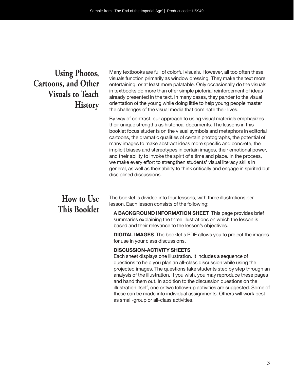### **Using Photos, Cartoons, and Other Visuals to Teach History**

Many textbooks are full of colorful visuals. However, all too often these visuals function primarily as window dressing. They make the text more entertaining, or at least more palatable. Only occasionally do the visuals in textbooks do more than offer simple pictorial reinforcement of ideas already presented in the text. In many cases, they pander to the visual orientation of the young while doing little to help young people master the challenges of the visual media that dominate their lives.

By way of contrast, our approach to using visual materials emphasizes their unique strengths as historical documents. The lessons in this booklet focus students on the visual symbols and metaphors in editorial cartoons, the dramatic qualities of certain photographs, the potential of many images to make abstract ideas more specific and concrete, the implicit biases and stereotypes in certain images, their emotional power, and their ability to invoke the spirit of a time and place. In the process, we make every effort to strengthen students' visual literacy skills in general, as well as their ability to think critically and engage in spirited but disciplined discussions.

### **How to Use This Booklet**

The booklet is divided into four lessons, with three illustrations per lesson. Each lesson consists of the following:

**A BACKGROUND INFORMATION SHEET** This page provides brief summaries explaining the three illustrations on which the lesson is based and their relevance to the lesson's objectives.

**DIGITAL IMAGES** The booklet's PDF allows you to project the images for use in your class discussions.

#### **DISCUSSION-ACTIVITY SHEETS**

Each sheet displays one illustration. It includes a sequence of questions to help you plan an all-class discussion while using the projected images. The questions take students step by step through an analysis of the illustration. If you wish, you may reproduce these pages and hand them out. In addition to the discussion questions on the illustration itself, one or two follow-up activities are suggested. Some of these can be made into individual assignments. Others will work best as small-group or all- class activities.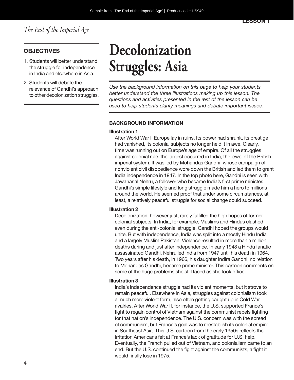#### **OBJECTIVES**

- 1. Students will better understand the struggle for independence in India and elsewhere in Asia.
- 2. Students will debate the relevance of Gandhi's approach to other decolonization struggles.

# **Decolonization Struggles: Asia**

*Use the background information on this page to help your students better understand the three illustrations making up this lesson. The questions and activities presented in the rest of the lesson can be used to help students clarify meanings and debate important issues.*

#### **BACKGROUND INFORMATION**

#### **Illustration 1**

After World War II Europe lay in ruins. Its power had shrunk, its prestige had vanished, its colonial subjects no longer held it in awe. Clearly, time was running out on Europe's age of empire. Of all the struggles against colonial rule, the largest occurred in India, the jewel of the British imperial system. It was led by Mohandas Gandhi, whose campaign of nonviolent civil disobedience wore down the British and led them to grant India independence in 1947. In the top photo here, Gandhi is seen with Jawaharlal Nehru, a follower who became India's first prime minister. Gandhi's simple lifestyle and long struggle made him a hero to millions around the world. He seemed proof that under some circumstances, at least, a relatively peaceful struggle for social change could succeed.

#### **Illustration 2**

Decolonization, however just, rarely fulfilled the high hopes of former colonial subjects. In India, for example, Muslims and Hindus clashed even during the anti-colonial struggle. Gandhi hoped the groups would unite. But with independence, India was split into a mostly Hindu India and a largely Muslim Pakistan. Violence resulted in more than a million deaths during and just after independence. In early 1948 a Hindu fanatic assassinated Gandhi. Nehru led India from 1947 until his death in 1964. Two years after his death, in 1966, his daughter Indira Gandhi, no relation to Mohandas Gandhi, became prime minister. This cartoon comments on some of the huge problems she still faced as she took office.

#### **Illustration 3**

India's independence struggle had its violent moments, but it strove to remain peaceful. Elsewhere in Asia, struggles against colonialism took a much more violent form, also often getting caught up in Cold War rivalries. After World War II, for instance, the U.S. supported France's fight to regain control of Vietnam against the communist rebels fighting for that nation's independence. The U.S. concern was with the spread of communism, but France's goal was to reestablish its colonial empire in Southeast Asia. This U.S. cartoon from the early 1950s reflects the irritation Americans felt at France's lack of gratitude for U.S. help. Eventually, the French pulled out of Vietnam, and colonialism came to an end. But the U.S. continued the fight against the communists, a fight it would finally lose in 1975.